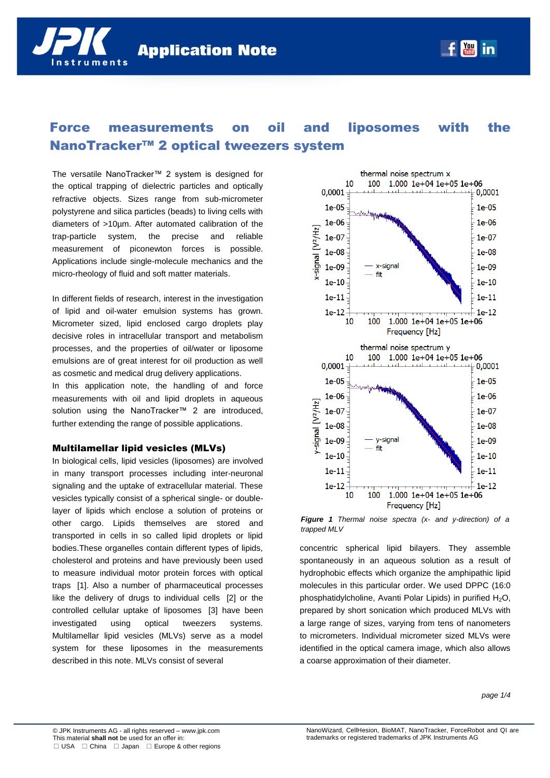# Force measurements on oil and liposomes with the NanoTracker™ 2 optical tweezers system

The versatile NanoTracker™ 2 system is designed for the optical trapping of dielectric particles and optically refractive objects. Sizes range from sub-micrometer polystyrene and silica particles (beads) to living cells with diameters of >10µm. After automated calibration of the trap-particle system, the precise and reliable measurement of piconewton forces is possible. Applications include single-molecule mechanics and the micro-rheology of fluid and soft matter materials.

nstruments

In different fields of research, interest in the investigation of lipid and oil-water emulsion systems has grown. Micrometer sized, lipid enclosed cargo droplets play decisive roles in intracellular transport and metabolism processes, and the properties of oil/water or liposome emulsions are of great interest for oil production as well as cosmetic and medical drug delivery applications.

In this application note, the handling of and force measurements with oil and lipid droplets in aqueous solution using the NanoTracker™ 2 are introduced. further extending the range of possible applications.

## Multilamellar lipid vesicles (MLVs)

In biological cells, lipid vesicles (liposomes) are involved in many transport processes including inter-neuronal signaling and the uptake of extracellular material. These vesicles typically consist of a spherical single- or doublelayer of lipids which enclose a solution of proteins or other cargo. Lipids themselves are stored and transported in cells in so called lipid droplets or lipid bodies.These organelles contain different types of lipids, cholesterol and proteins and have previously been used to measure individual motor protein forces with optical traps [1]. Also a number of pharmaceutical processes like the delivery of drugs to individual cells [2] or the controlled cellular uptake of liposomes [3] have been investigated using optical tweezers systems. Multilamellar lipid vesicles (MLVs) serve as a model system for these liposomes in the measurements described in this note. MLVs consist of several



*Figure 1 Thermal noise spectra (x- and y-direction) of a trapped MLV*

concentric spherical lipid bilayers. They assemble spontaneously in an aqueous solution as a result of hydrophobic effects which organize the amphipathic lipid molecules in this particular order. We used DPPC (16:0 phosphatidylcholine, Avanti Polar Lipids) in purified  $H_2O$ , prepared by short sonication which produced MLVs with a large range of sizes, varying from tens of nanometers to micrometers. Individual micrometer sized MLVs were identified in the optical camera image, which also allows a coarse approximation of their diameter.

*page 1/4*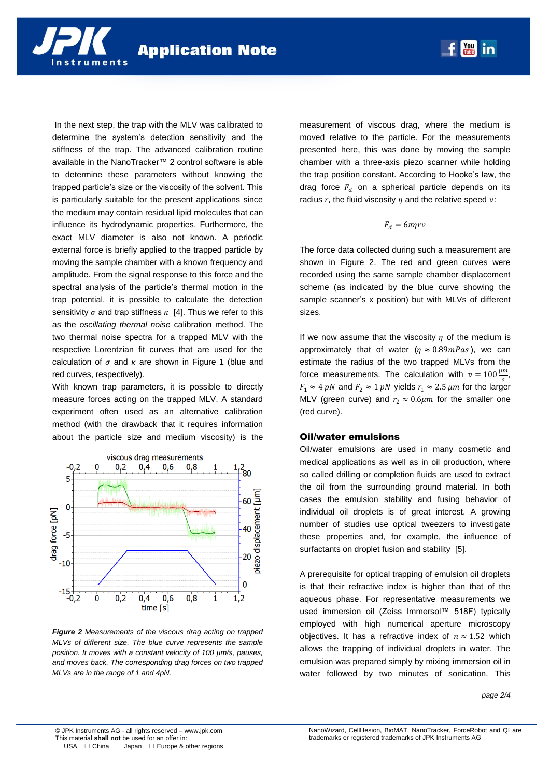In the next step, the trap with the MLV was calibrated to determine the system's detection sensitivity and the stiffness of the trap. The advanced calibration routine available in the NanoTracker™ 2 control software is able to determine these parameters without knowing the trapped particle's size or the viscosity of the solvent. This is particularly suitable for the present applications since the medium may contain residual lipid molecules that can influence its hydrodynamic properties. Furthermore, the exact MLV diameter is also not known. A periodic external force is briefly applied to the trapped particle by moving the sample chamber with a known frequency and amplitude. From the signal response to this force and the spectral analysis of the particle's thermal motion in the trap potential, it is possible to calculate the detection sensitivity  $\sigma$  and trap stiffness  $\kappa$  [4]. Thus we refer to this as the *oscillating thermal noise* calibration method. The two thermal noise spectra for a trapped MLV with the respective Lorentzian fit curves that are used for the calculation of  $\sigma$  and  $\kappa$  are shown in Figure 1 (blue and red curves, respectively).

nstruments

With known trap parameters, it is possible to directly measure forces acting on the trapped MLV. A standard experiment often used as an alternative calibration method (with the drawback that it requires information about the particle size and medium viscosity) is the



*Figure 2 Measurements of the viscous drag acting on trapped MLVs of different size. The blue curve represents the sample position. It moves with a constant velocity of 100 µm/s, pauses, and moves back. The corresponding drag forces on two trapped MLVs are in the range of 1 and 4pN.*

measurement of viscous drag, where the medium is moved relative to the particle. For the measurements presented here, this was done by moving the sample chamber with a three-axis piezo scanner while holding the trap position constant. According to Hooke's law, the drag force  $F_d$  on a spherical particle depends on its radius r, the fluid viscosity  $\eta$  and the relative speed  $v$ :

**May** in

#### $F_d = 6\pi\eta rv$

The force data collected during such a measurement are shown in Figure 2. The red and green curves were recorded using the same sample chamber displacement scheme (as indicated by the blue curve showing the sample scanner's x position) but with MLVs of different sizes.

If we now assume that the viscosity  $\eta$  of the medium is approximately that of water  $(\eta \approx 0.89mPas)$ , we can estimate the radius of the two trapped MLVs from the force measurements. The calculation with  $v = 100 \frac{\mu m}{s}$ ,  $F_1 \approx 4 \ pN$  and  $F_2 \approx 1 \ pN$  yields  $r_1 \approx 2.5 \ \mu m$  for the larger MLV (green curve) and  $r_2 \approx 0.6 \mu m$  for the smaller one (red curve).

### Oil/water emulsions

Oil/water emulsions are used in many cosmetic and medical applications as well as in oil production, where so called drilling or completion fluids are used to extract the oil from the surrounding ground material. In both cases the emulsion stability and fusing behavior of individual oil droplets is of great interest. A growing number of studies use optical tweezers to investigate these properties and, for example, the influence of surfactants on droplet fusion and stability [5].

A prerequisite for optical trapping of emulsion oil droplets is that their refractive index is higher than that of the aqueous phase. For representative measurements we used immersion oil (Zeiss Immersol™ 518F) typically employed with high numerical aperture microscopy objectives. It has a refractive index of  $n \approx 1.52$  which allows the trapping of individual droplets in water. The emulsion was prepared simply by mixing immersion oil in water followed by two minutes of sonication. This

#### *page 2/4*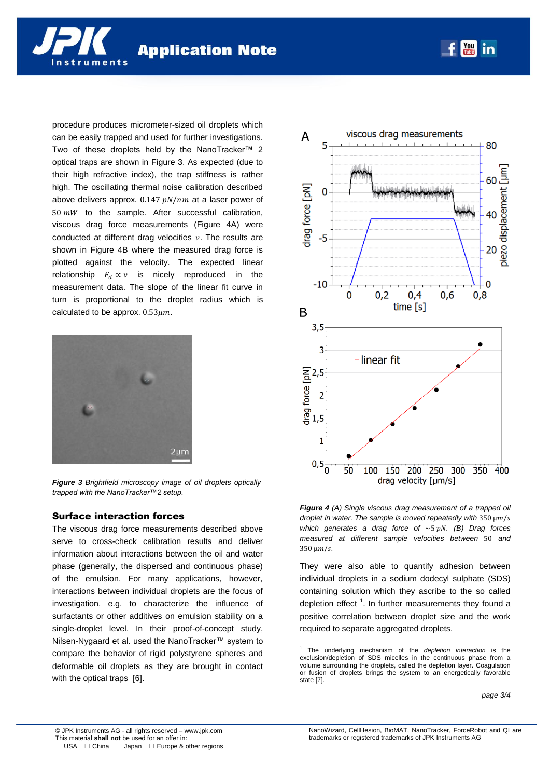procedure produces micrometer-sized oil droplets which can be easily trapped and used for further investigations. Two of these droplets held by the NanoTracker™ 2 optical traps are shown in Figure 3. As expected (due to their high refractive index), the trap stiffness is rather high. The oscillating thermal noise calibration described above delivers approx.  $0.147$  pN/nm at a laser power of  $50~mW$  to the sample. After successful calibration, viscous drag force measurements (Figure 4A) were conducted at different drag velocities  $v$ . The results are shown in Figure 4B where the measured drag force is plotted against the velocity. The expected linear relationship  $F_d \propto v$  is nicely reproduced in the measurement data. The slope of the linear fit curve in turn is proportional to the droplet radius which is calculated to be approx.  $0.53 \mu m$ .



nstruments

*Figure 3 Brightfield microscopy image of oil droplets optically trapped with the NanoTracker™2 setup.*

## Surface interaction forces

The viscous drag force measurements described above serve to cross-check calibration results and deliver information about interactions between the oil and water phase (generally, the dispersed and continuous phase) of the emulsion. For many applications, however, interactions between individual droplets are the focus of investigation, e.g. to characterize the influence of surfactants or other additives on emulsion stability on a single-droplet level. In their proof-of-concept study, Nilsen-Nygaard et al. used the NanoTracker™ system to compare the behavior of rigid polystyrene spheres and deformable oil droplets as they are brought in contact with the optical traps [6].



**May** in

*Figure 4 (A) Single viscous drag measurement of a trapped oil droplet in water. The sample is moved repeatedly with*  $350 \mu m/s$ *which generates a drag force of ~5 pN. (B) Drag forces measured at different sample velocities between* 50 and  $350 \mu m/s$ .

They were also able to quantify adhesion between individual droplets in a sodium dodecyl sulphate (SDS) containing solution which they ascribe to the so called depletion effect  $1$ . In further measurements they found a positive correlation between droplet size and the work required to separate aggregated droplets.

<sup>1</sup> The underlying mechanism of the *depletion interaction* is the exclusion/depletion of SDS micelles in the continuous phase from a volume surrounding the droplets, called the depletion layer. Coagulation or fusion of droplets brings the system to an energetically favorable state [7].